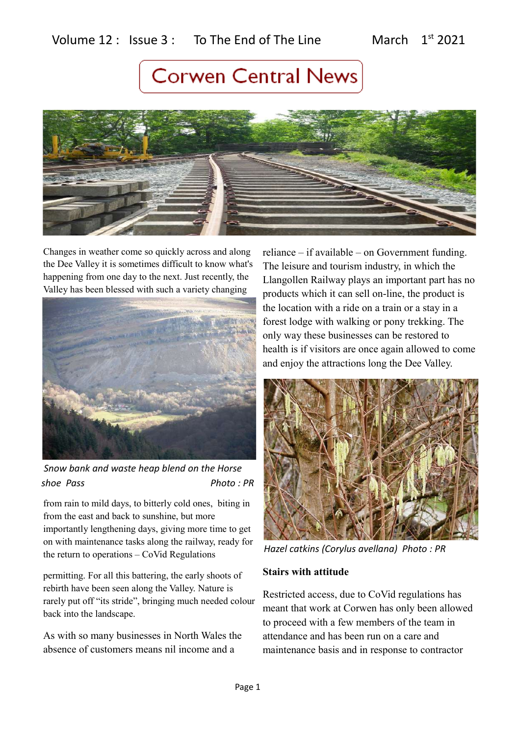## Volume  $12$  : Issue  $3$  : To The End of The Line March  $1<sup>st</sup>$  2021

# **Corwen Central News**



Changes in weather come so quickly across and along the Dee Valley it is sometimes difficult to know what's happening from one day to the next. Just recently, the Valley has been blessed with such a variety changing



 *Snow bank and waste heap blend on the Horse shoe Pass Photo : PR*

from rain to mild days, to bitterly cold ones, biting in from the east and back to sunshine, but more importantly lengthening days, giving more time to get on with maintenance tasks along the railway, ready for the return to operations – CoVid Regulations

permitting. For all this battering, the early shoots of rebirth have been seen along the Valley. Nature is rarely put off "its stride", bringing much needed colour back into the landscape.

As with so many businesses in North Wales the absence of customers means nil income and a

reliance – if available – on Government funding. The leisure and tourism industry, in which the Llangollen Railway plays an important part has no products which it can sell on-line, the product is the location with a ride on a train or a stay in a forest lodge with walking or pony trekking. The only way these businesses can be restored to health is if visitors are once again allowed to come and enjoy the attractions long the Dee Valley.



*Hazel catkins (Corylus avellana) Photo : PR*

### **Stairs with attitude**

Restricted access, due to CoVid regulations has meant that work at Corwen has only been allowed to proceed with a few members of the team in attendance and has been run on a care and maintenance basis and in response to contractor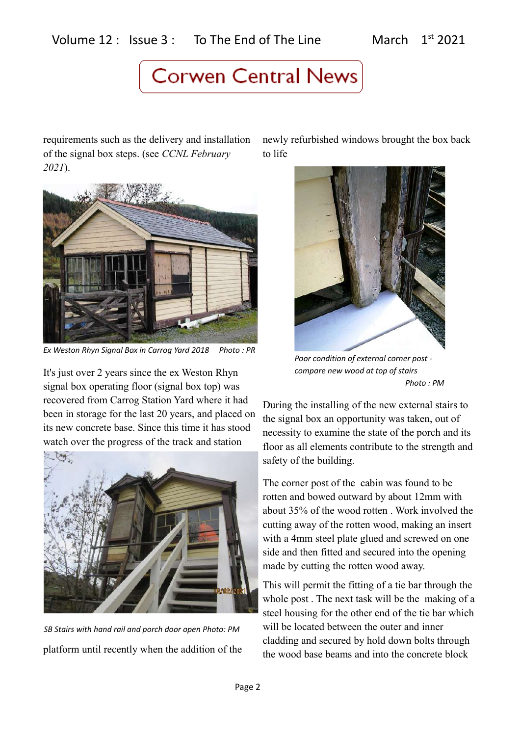requirements such as the delivery and installation of the signal box steps. (see *CCNL February 2021*).



*Ex Weston Rhyn Signal Box in Carrog Yard 2018 Photo : PR*

It's just over 2 years since the ex Weston Rhyn signal box operating floor (signal box top) was recovered from Carrog Station Yard where it had been in storage for the last 20 years, and placed on its new concrete base. Since this time it has stood watch over the progress of the track and station



platform until recently when the addition of the *SB Stairs with hand rail and porch door open Photo: PM*

newly refurbished windows brought the box back to life



*Poor condition of external corner post compare new wood at top of stairs Photo : PM*

During the installing of the new external stairs to the signal box an opportunity was taken, out of necessity to examine the state of the porch and its floor as all elements contribute to the strength and safety of the building.

The corner post of the cabin was found to be rotten and bowed outward by about 12mm with about 35% of the wood rotten . Work involved the cutting away of the rotten wood, making an insert with a 4mm steel plate glued and screwed on one side and then fitted and secured into the opening made by cutting the rotten wood away.

This will permit the fitting of a tie bar through the whole post . The next task will be the making of a steel housing for the other end of the tie bar which will be located between the outer and inner cladding and secured by hold down bolts through the wood base beams and into the concrete block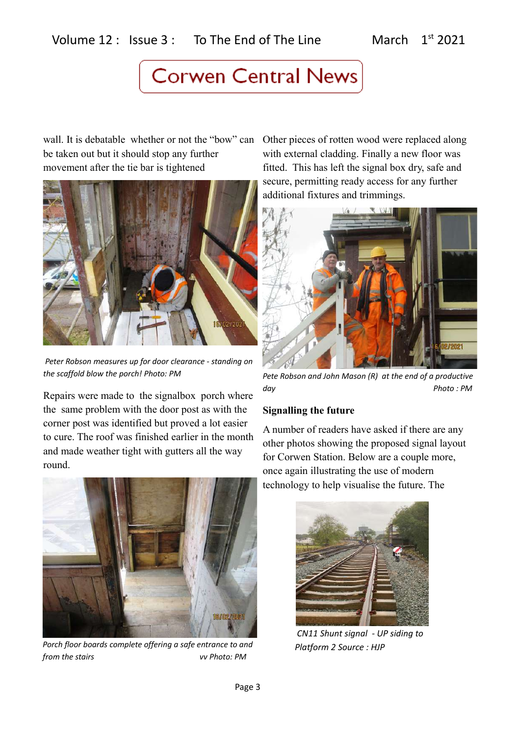wall. It is debatable whether or not the "bow" can be taken out but it should stop any further movement after the tie bar is tightened



 *Peter Robson measures up for door clearance - standing on the scaffold blow the porch! Photo: PM*

Repairs were made to the signalbox porch where the same problem with the door post as with the corner post was identified but proved a lot easier to cure. The roof was finished earlier in the month and made weather tight with gutters all the way round.



*Porch floor boards complete offering a safe entrance to and from the stairs vv Photo: PM*

Other pieces of rotten wood were replaced along with external cladding. Finally a new floor was fitted. This has left the signal box dry, safe and secure, permitting ready access for any further additional fixtures and trimmings.



*Pete Robson and John Mason (R) at the end of a productive day Photo : PM*

### **Signalling the future**

A number of readers have asked if there are any other photos showing the proposed signal layout for Corwen Station. Below are a couple more, once again illustrating the use of modern technology to help visualise the future. The



 *CN11 Shunt signal - UP siding to Platform 2 Source : HJP*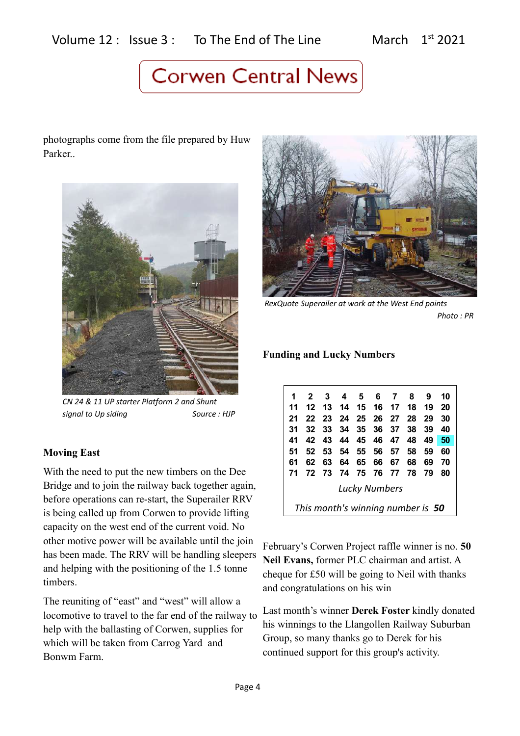photographs come from the file prepared by Huw Parker..



*CN 24 & 11 UP starter Platform 2 and Shunt signal to Up siding Source : HJP*

## **Moving East**

With the need to put the new timbers on the Dee Bridge and to join the railway back together again, before operations can re-start, the Superailer RRV is being called up from Corwen to provide lifting capacity on the west end of the current void. No other motive power will be available until the join has been made. The RRV will be handling sleepers and helping with the positioning of the 1.5 tonne timbers.

The reuniting of "east" and "west" will allow a locomotive to travel to the far end of the railway to help with the ballasting of Corwen, supplies for which will be taken from Carrog Yard and Bonwm Farm.



 *RexQuote Superailer at work at the West End points Photo : PR*

### **Funding and Lucky Numbers**

|                      | $2^{\circ}$                       | -3    | 4    | 5              |          | 6 7 | 8    | 9    | 10 |
|----------------------|-----------------------------------|-------|------|----------------|----------|-----|------|------|----|
| 11                   | 12                                | 13 14 |      | 15 16 17 18    |          |     |      | - 19 | 20 |
| 21                   |                                   | 22 23 | - 24 | 25 26 27 28    |          |     |      | 29   | 30 |
| 31                   | 32                                | - 33  | 34   |                | 35 36 37 |     | - 38 | 39   | 40 |
| 41                   | 42                                | 43    |      | 44 45 46 47 48 |          |     |      | 49   | 50 |
| 51                   | 52                                | 53    | - 54 |                | 55 56 57 |     | -58  | 59   | 60 |
| 61                   | 62                                | 63    | 64   |                | 65 66    | 67  | 68   | 69   | 70 |
| 71                   | 72                                | - 73  | - 74 | 75 76 77       |          |     | - 78 | 79   | 80 |
| <b>Lucky Numbers</b> |                                   |       |      |                |          |     |      |      |    |
|                      | This month's winning number is 50 |       |      |                |          |     |      |      |    |

February's Corwen Project raffle winner is no. **50 Neil Evans,** former PLC chairman and artist. A cheque for £50 will be going to Neil with thanks and congratulations on his win

Last month's winner **Derek Foster** kindly donated his winnings to the Llangollen Railway Suburban Group, so many thanks go to Derek for his continued support for this group's activity.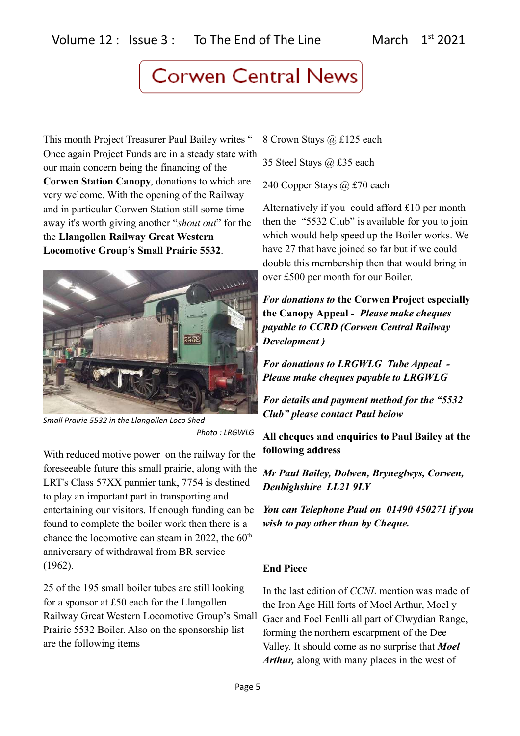This month Project Treasurer Paul Bailey writes " Once again Project Funds are in a steady state with our main concern being the financing of the **Corwen Station Canopy**, donations to which are very welcome. With the opening of the Railway and in particular Corwen Station still some time away it's worth giving another "*shout out*" for the the **Llangollen Railway Great Western Locomotive Group's Small Prairie 5532**.



*Small Prairie 5532 in the Llangollen Loco Shed Photo : LRGWLG*

With reduced motive power on the railway for the foreseeable future this small prairie, along with the LRT's Class 57XX pannier tank, 7754 is destined to play an important part in transporting and entertaining our visitors. If enough funding can be found to complete the boiler work then there is a chance the locomotive can steam in 2022, the  $60<sup>th</sup>$ anniversary of withdrawal from BR service (1962).

25 of the 195 small boiler tubes are still looking for a sponsor at £50 each for the Llangollen Railway Great Western Locomotive Group's Small Prairie 5532 Boiler. Also on the sponsorship list are the following items

8 Crown Stays @ £125 each

35 Steel Stays @ £35 each

240 Copper Stays @ £70 each

Alternatively if you could afford £10 per month then the "5532 Club" is available for you to join which would help speed up the Boiler works. We have 27 that have joined so far but if we could double this membership then that would bring in over £500 per month for our Boiler.

*For donations to* **the Corwen Project especially the Canopy Appeal -** *Please make cheques payable to CCRD (Corwen Central Railway Development )* 

*For donations to LRGWLG Tube Appeal - Please make cheques payable to LRGWLG* 

*For details and payment method for the "5532 Club" please contact Paul below*

**All cheques and enquiries to Paul Bailey at the following address**

*Mr Paul Bailey, Dolwen, Bryneglwys, Corwen, Denbighshire LL21 9LY* 

*You can Telephone Paul on 01490 450271 if you wish to pay other than by Cheque.*

## **End Piece**

In the last edition of *CCNL* mention was made of the Iron Age Hill forts of Moel Arthur, Moel y Gaer and Foel Fenlli all part of Clwydian Range, forming the northern escarpment of the Dee Valley. It should come as no surprise that *Moel Arthur,* along with many places in the west of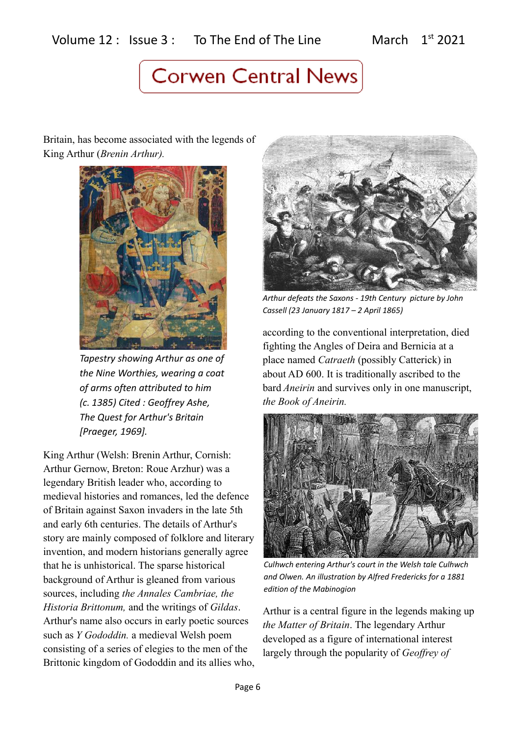Britain, has become associated with the legends of King Arthur (*Brenin Arthur).*



*Tapestry showing Arthur as one of the Nine Worthies, wearing a coat of arms often attributed to him (c. 1385) Cited : Geoffrey Ashe, The Quest for Arthur's Britain [Praeger, 1969].* 

King Arthur (Welsh: Brenin Arthur, Cornish: Arthur Gernow, Breton: Roue Arzhur) was a legendary British leader who, according to medieval histories and romances, led the defence of Britain against Saxon invaders in the late 5th and early 6th centuries. The details of Arthur's story are mainly composed of folklore and literary invention, and modern historians generally agree that he is unhistorical. The sparse historical background of Arthur is gleaned from various sources, including *the Annales Cambriae, the Historia Brittonum,* and the writings of *Gildas*. Arthur's name also occurs in early poetic sources such as *Y Gododdin.* a medieval Welsh poem consisting of a series of elegies to the men of the Brittonic kingdom of Gododdin and its allies who,



*Arthur defeats the Saxons - 19th Century picture by John Cassell (23 January 1817 – 2 April 1865)*

according to the conventional interpretation, died fighting the Angles of Deira and Bernicia at a place named *Catraeth* (possibly Catterick) in about AD 600. It is traditionally ascribed to the bard *Aneirin* and survives only in one manuscript, *the Book of Aneirin.* 



*Culhwch entering Arthur's court in the Welsh tale Culhwch and Olwen. An illustration by Alfred Fredericks for a 1881 edition of the Mabinogion*

Arthur is a central figure in the legends making up *the Matter of Britain*. The legendary Arthur developed as a figure of international interest largely through the popularity of *Geoffrey of*